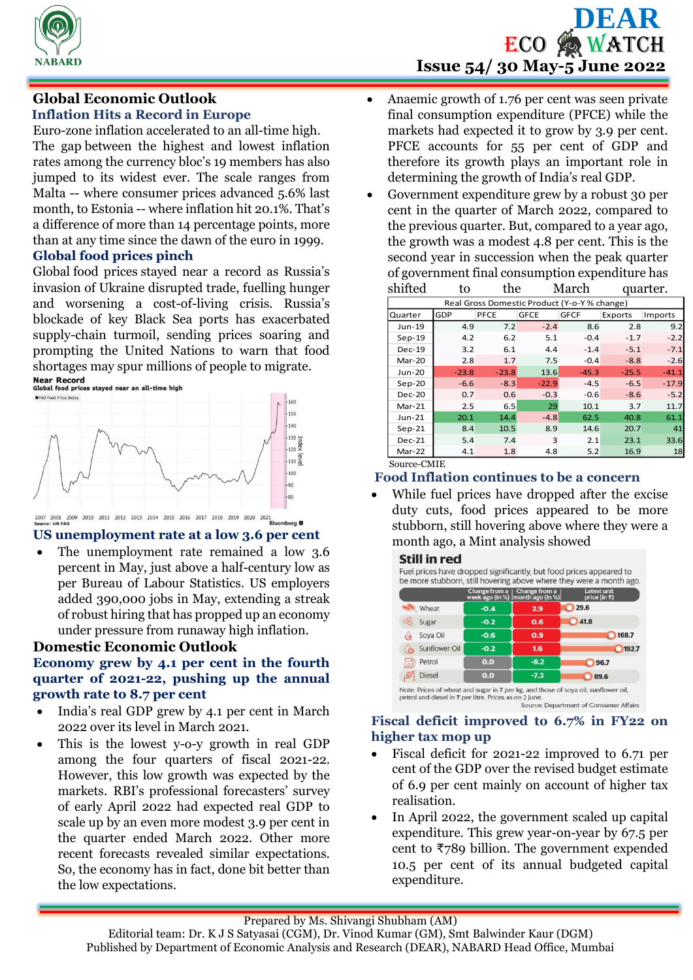

# **Global Economic Outlook**

# **Inflation Hits a Record in Europe**

Euro-zone inflation accelerated to an all-time high. The gap between the highest and lowest inflation rates among the currency bloc's 19 members has also jumped to its widest ever. The scale ranges from Malta -- where consumer prices advanced 5.6% last month, to Estonia -- where inflation hit 20.1%. That's a difference of more than 14 percentage points, more than at any time since the dawn of the euro in 1999.

# **Global food prices pinch**

Global food prices stayed near a record as Russia's invasion of Ukraine disrupted trade, fuelling hunger and worsening a cost-of-living crisis. Russia's blockade of key Black Sea ports has exacerbated supply-chain turmoil, sending prices soaring and prompting the United Nations to warn that food shortages may spur millions of people to migrate.<br>
Near Record<br>
Global food prices stayed near an all-time high





### **US unemployment rate at a low 3.6 per cent**

 The unemployment rate remained a low 3.6 percent in May, just above a half-century low as per Bureau of Labour Statistics. US employers added 390,000 jobs in May, extending a streak of robust hiring that has propped up an economy under pressure from runaway high inflation.

### **Domestic Economic Outlook**

#### **Economy grew by 4.1 per cent in the fourth quarter of 2021-22, pushing up the annual growth rate to 8.7 per cent**

- India's real GDP grew by 4.1 per cent in March 2022 over its level in March 2021.
- This is the lowest y-o-y growth in real GDP among the four quarters of fiscal 2021-22. However, this low growth was expected by the markets. RBI's professional forecasters' survey of early April 2022 had expected real GDP to scale up by an even more modest 3.9 per cent in the quarter ended March 2022. Other more recent forecasts revealed similar expectations. So, the economy has in fact, done bit better than the low expectations.

# **DEAR ECO & WATCH Issue 54/ 30 May-5 June 2022**

- Anaemic growth of 1.76 per cent was seen private final consumption expenditure (PFCE) while the markets had expected it to grow by 3.9 per cent. PFCE accounts for 55 per cent of GDP and therefore its growth plays an important role in determining the growth of India's real GDP.
- Government expenditure grew by a robust 30 per cent in the quarter of March 2022, compared to the previous quarter. But, compared to a year ago, the growth was a modest 4.8 per cent. This is the second year in succession when the peak quarter of government final consumption expenditure has

| shifted                                      | to      | the     | March       |             | quarter. |         |  |  |  |  |  |
|----------------------------------------------|---------|---------|-------------|-------------|----------|---------|--|--|--|--|--|
| Real Gross Domestic Product (Y-o-Y % change) |         |         |             |             |          |         |  |  |  |  |  |
| Quarter                                      | GDP     | PFCE    | <b>GFCE</b> | <b>GFCF</b> | Exports  | Imports |  |  |  |  |  |
| Jun-19                                       | 4.9     | 7.2     | $-2.4$      | 8.6         | 2.8      | 9.2     |  |  |  |  |  |
| $Sep-19$                                     | 4.2     | 6.2     | 5.1         | $-0.4$      | $-1.7$   | $-2.2$  |  |  |  |  |  |
| $Dec-19$                                     | 3.2     | 6.1     | 4.4         | $-1.4$      | $-5.1$   | $-7.1$  |  |  |  |  |  |
| Mar-20                                       | 2.8     | 1.7     | 7.5         | $-0.4$      | $-8.8$   | $-2.6$  |  |  |  |  |  |
| <b>Jun-20</b>                                | $-23.8$ | $-23.8$ | 13.6        | $-45.3$     | $-25.5$  | $-41.1$ |  |  |  |  |  |
| $Sep-20$                                     | $-6.6$  | $-8.3$  | $-22.9$     | $-4.5$      | $-6.5$   | $-17.9$ |  |  |  |  |  |
| <b>Dec-20</b>                                | 0.7     | 0.6     | $-0.3$      | $-0.6$      | $-8.6$   | $-5.2$  |  |  |  |  |  |
| $Mar-21$                                     | 2.5     | 6.5     | 29          | 10.1        | 3.7      | 11.7    |  |  |  |  |  |
| $Jun-21$                                     | 20.1    | 14.4    | $-4.8$      | 62.5        | 40.8     | 61.1    |  |  |  |  |  |
| $Sep-21$                                     | 8.4     | 10.5    | 8.9         | 14.6        | 20.7     | 41      |  |  |  |  |  |
| $Dec-21$                                     | 5.4     | 7.4     | 3           | 2.1         | 23.1     | 33.6    |  |  |  |  |  |
| Mar-22                                       | 4.1     | 1.8     | 4.8         | 5.2         | 16.9     | 18      |  |  |  |  |  |
| $S_{OII}$ rea CMIE                           |         |         |             |             |          |         |  |  |  |  |  |

Source-CMIE

# **Food Inflation continues to be a concern**

 While fuel prices have dropped after the excise duty cuts, food prices appeared to be more stubborn, still hovering above where they were a month ago, a Mint analysis showed

#### **Still in red**



#### Source: Department of Consumer Affairs

#### **Fiscal deficit improved to 6.7% in FY22 on higher tax mop up**

- Fiscal deficit for 2021-22 improved to 6.71 per cent of the GDP over the revised budget estimate of 6.9 per cent mainly on account of higher tax realisation.
- In April 2022, the government scaled up capital expenditure. This grew year-on-year by 67.5 per cent to ₹789 billion. The government expended 10.5 per cent of its annual budgeted capital expenditure.

Editorial team: Dr. K J S Satyasai (CGM), Dr. Vinod Kumar (GM), Smt Balwinder Kaur (DGM) Published by Department of Economic Analysis and Research (DEAR), NABARD Head Office, Mumbai